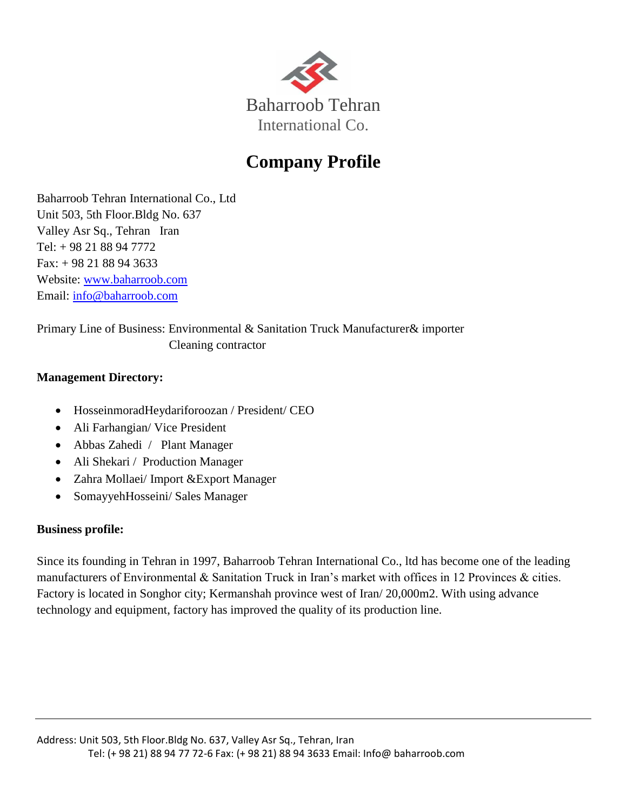

# **Company Profile**

Baharroob Tehran International Co., Ltd Unit 503, 5th Floor.Bldg No. 637 Valley Asr Sq., Tehran Iran Tel: + 98 21 88 94 7772 Fax: + 98 21 88 94 3633 Website: [www.baharroob.com](http://www.baharroob.com/) Email: [info@baharroob.com](mailto:info@baharroob.com)

Primary Line of Business: Environmental & Sanitation Truck Manufacturer& importer Cleaning contractor

### **Management Directory:**

- HosseinmoradHeydariforoozan / President/ CEO
- Ali Farhangian/ Vice President
- Abbas Zahedi / Plant Manager
- Ali Shekari / Production Manager
- Zahra Mollaei/ Import &Export Manager
- SomayyehHosseini/ Sales Manager

## **Business profile:**

Since its founding in Tehran in 1997, Baharroob Tehran International Co., ltd has become one of the leading manufacturers of Environmental & Sanitation Truck in Iran's market with offices in 12 Provinces & cities. Factory is located in Songhor city; Kermanshah province west of Iran/ 20,000m2. With using advance technology and equipment, factory has improved the quality of its production line.